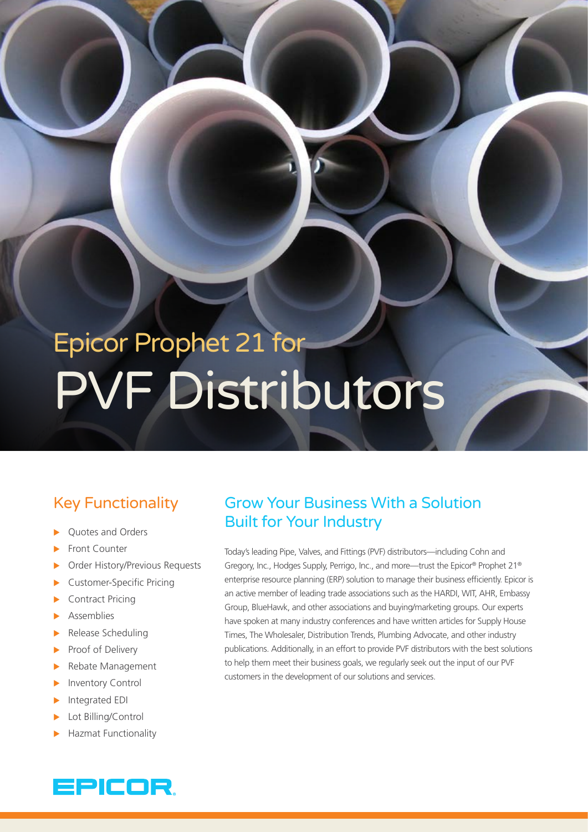# Epicor Prophet 21 for PVF Distributors

## Key Functionality

- Quotes and Orders
- Front Counter
- Order History/Previous Requests
- Customer-Specific Pricing
- Contract Pricing
- **Assemblies**
- Release Scheduling
- Proof of Delivery
- Rebate Management
- Inventory Control
- Integrated EDI
- Lot Billing/Control
- Hazmat Functionality

## EPICOR.

## Grow Your Business With a Solution Built for Your Industry

Today's leading Pipe, Valves, and Fittings (PVF) distributors—including Cohn and Gregory, Inc., Hodges Supply, Perrigo, Inc., and more—trust the Epicor® Prophet 21® enterprise resource planning (ERP) solution to manage their business efficiently. Epicor is an active member of leading trade associations such as the HARDI, WIT, AHR, Embassy Group, BlueHawk, and other associations and buying/marketing groups. Our experts have spoken at many industry conferences and have written articles for Supply House Times, The Wholesaler, Distribution Trends, Plumbing Advocate, and other industry publications. Additionally, in an effort to provide PVF distributors with the best solutions to help them meet their business goals, we regularly seek out the input of our PVF customers in the development of our solutions and services.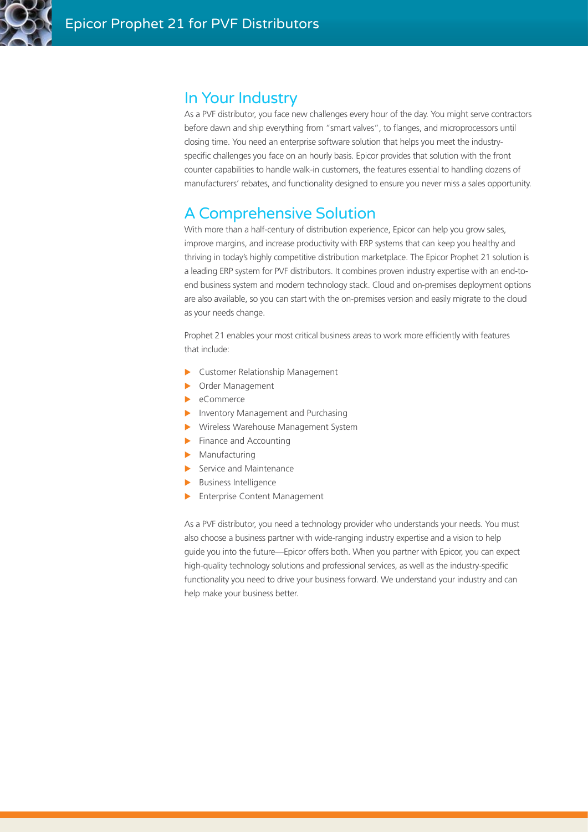

### In Your Industry

As a PVF distributor, you face new challenges every hour of the day. You might serve contractors before dawn and ship everything from "smart valves", to flanges, and microprocessors until closing time. You need an enterprise software solution that helps you meet the industryspecific challenges you face on an hourly basis. Epicor provides that solution with the front counter capabilities to handle walk-in customers, the features essential to handling dozens of manufacturers' rebates, and functionality designed to ensure you never miss a sales opportunity.

## A Comprehensive Solution

With more than a half-century of distribution experience, Epicor can help you grow sales, improve margins, and increase productivity with ERP systems that can keep you healthy and thriving in today's highly competitive distribution marketplace. The Epicor Prophet 21 solution is a leading ERP system for PVF distributors. It combines proven industry expertise with an end-toend business system and modern technology stack. Cloud and on-premises deployment options are also available, so you can start with the on-premises version and easily migrate to the cloud as your needs change.

Prophet 21 enables your most critical business areas to work more efficiently with features that include:

- $\blacktriangleright$  Customer Relationship Management
- **Dider Management**
- $\blacktriangleright$  eCommerce
- Inventory Management and Purchasing
- **X** Wireless Warehouse Management System
- $\blacktriangleright$  Finance and Accounting
- $\blacktriangleright$  Manufacturing
- $\blacktriangleright$  Service and Maintenance
- $\blacktriangleright$  Business Intelligence
- $\blacktriangleright$  Enterprise Content Management

As a PVF distributor, you need a technology provider who understands your needs. You must also choose a business partner with wide-ranging industry expertise and a vision to help guide you into the future—Epicor offers both. When you partner with Epicor, you can expect high-quality technology solutions and professional services, as well as the industry-specific functionality you need to drive your business forward. We understand your industry and can help make your business better.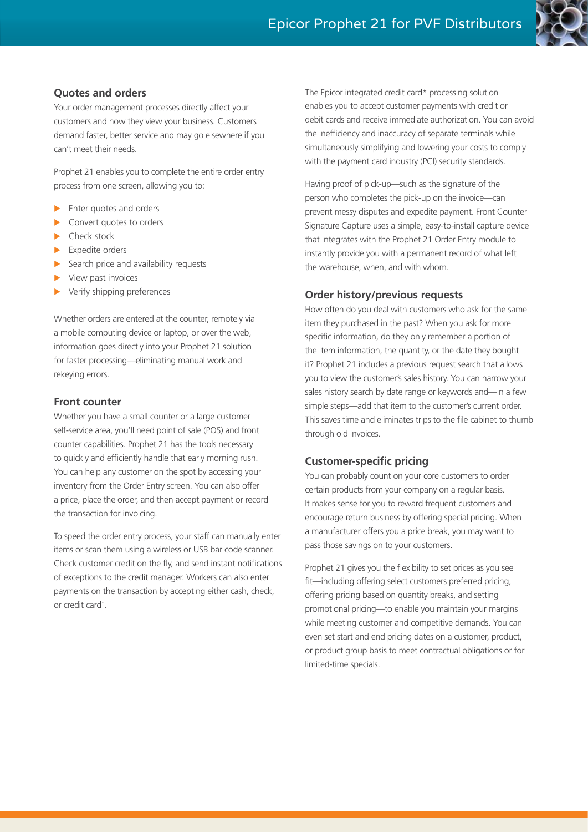

#### **Quotes and orders**

Your order management processes directly affect your customers and how they view your business. Customers demand faster, better service and may go elsewhere if you can't meet their needs.

Prophet 21 enables you to complete the entire order entry process from one screen, allowing you to:

- Enter quotes and orders
- Convert quotes to orders
- $\blacktriangleright$  Check stock
- $\blacktriangleright$  Expedite orders
- $\blacktriangleright$  Search price and availability requests
- View past invoices
- Verify shipping preferences

Whether orders are entered at the counter, remotely via a mobile computing device or laptop, or over the web, information goes directly into your Prophet 21 solution for faster processing—eliminating manual work and rekeying errors.

#### **Front counter**

Whether you have a small counter or a large customer self-service area, you'll need point of sale (POS) and front counter capabilities. Prophet 21 has the tools necessary to quickly and efficiently handle that early morning rush. You can help any customer on the spot by accessing your inventory from the Order Entry screen. You can also offer a price, place the order, and then accept payment or record the transaction for invoicing.

To speed the order entry process, your staff can manually enter items or scan them using a wireless or USB bar code scanner. Check customer credit on the fly, and send instant notifications of exceptions to the credit manager. Workers can also enter payments on the transaction by accepting either cash, check, or credit card\* .

The Epicor integrated credit card\* processing solution enables you to accept customer payments with credit or debit cards and receive immediate authorization. You can avoid the inefficiency and inaccuracy of separate terminals while simultaneously simplifying and lowering your costs to comply with the payment card industry (PCI) security standards.

Having proof of pick-up—such as the signature of the person who completes the pick-up on the invoice—can prevent messy disputes and expedite payment. Front Counter Signature Capture uses a simple, easy-to-install capture device that integrates with the Prophet 21 Order Entry module to instantly provide you with a permanent record of what left the warehouse, when, and with whom.

#### **Order history/previous requests**

How often do you deal with customers who ask for the same item they purchased in the past? When you ask for more specific information, do they only remember a portion of the item information, the quantity, or the date they bought it? Prophet 21 includes a previous request search that allows you to view the customer's sales history. You can narrow your sales history search by date range or keywords and—in a few simple steps—add that item to the customer's current order. This saves time and eliminates trips to the file cabinet to thumb through old invoices.

#### **Customer-specific pricing**

You can probably count on your core customers to order certain products from your company on a regular basis. It makes sense for you to reward frequent customers and encourage return business by offering special pricing. When a manufacturer offers you a price break, you may want to pass those savings on to your customers.

Prophet 21 gives you the flexibility to set prices as you see fit—including offering select customers preferred pricing, offering pricing based on quantity breaks, and setting promotional pricing—to enable you maintain your margins while meeting customer and competitive demands. You can even set start and end pricing dates on a customer, product, or product group basis to meet contractual obligations or for limited-time specials.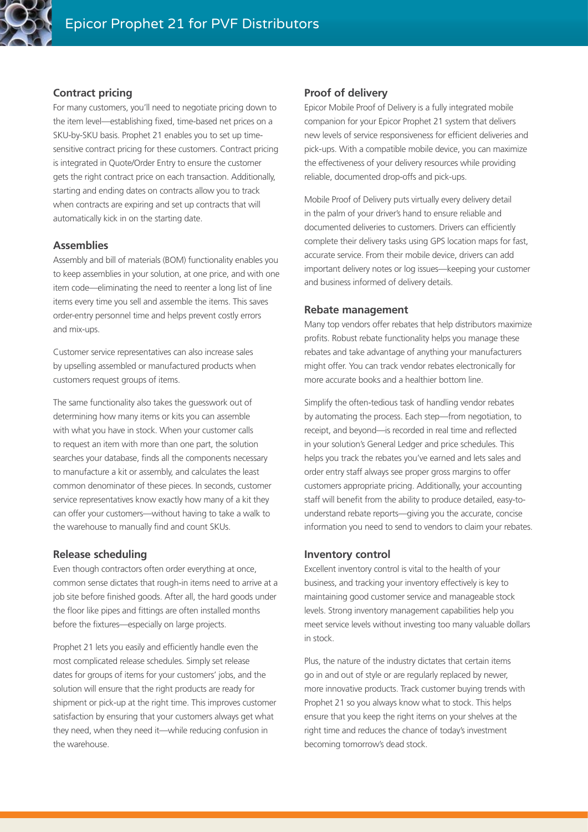

#### **Contract pricing**

For many customers, you'll need to negotiate pricing down to the item level—establishing fixed, time-based net prices on a SKU-by-SKU basis. Prophet 21 enables you to set up timesensitive contract pricing for these customers. Contract pricing is integrated in Quote/Order Entry to ensure the customer gets the right contract price on each transaction. Additionally, starting and ending dates on contracts allow you to track when contracts are expiring and set up contracts that will automatically kick in on the starting date.

#### **Assemblies**

Assembly and bill of materials (BOM) functionality enables you to keep assemblies in your solution, at one price, and with one item code—eliminating the need to reenter a long list of line items every time you sell and assemble the items. This saves order-entry personnel time and helps prevent costly errors and mix-ups.

Customer service representatives can also increase sales by upselling assembled or manufactured products when customers request groups of items.

The same functionality also takes the guesswork out of determining how many items or kits you can assemble with what you have in stock. When your customer calls to request an item with more than one part, the solution searches your database, finds all the components necessary to manufacture a kit or assembly, and calculates the least common denominator of these pieces. In seconds, customer service representatives know exactly how many of a kit they can offer your customers—without having to take a walk to the warehouse to manually find and count SKUs.

#### **Release scheduling**

Even though contractors often order everything at once, common sense dictates that rough-in items need to arrive at a job site before finished goods. After all, the hard goods under the floor like pipes and fittings are often installed months before the fixtures—especially on large projects.

Prophet 21 lets you easily and efficiently handle even the most complicated release schedules. Simply set release dates for groups of items for your customers' jobs, and the solution will ensure that the right products are ready for shipment or pick-up at the right time. This improves customer satisfaction by ensuring that your customers always get what they need, when they need it—while reducing confusion in the warehouse.

#### **Proof of delivery**

Epicor Mobile Proof of Delivery is a fully integrated mobile companion for your Epicor Prophet 21 system that delivers new levels of service responsiveness for efficient deliveries and pick-ups. With a compatible mobile device, you can maximize the effectiveness of your delivery resources while providing reliable, documented drop-offs and pick-ups.

Mobile Proof of Delivery puts virtually every delivery detail in the palm of your driver's hand to ensure reliable and documented deliveries to customers. Drivers can efficiently complete their delivery tasks using GPS location maps for fast, accurate service. From their mobile device, drivers can add important delivery notes or log issues—keeping your customer and business informed of delivery details.

#### **Rebate management**

Many top vendors offer rebates that help distributors maximize profits. Robust rebate functionality helps you manage these rebates and take advantage of anything your manufacturers might offer. You can track vendor rebates electronically for more accurate books and a healthier bottom line.

Simplify the often-tedious task of handling vendor rebates by automating the process. Each step—from negotiation, to receipt, and beyond—is recorded in real time and reflected in your solution's General Ledger and price schedules. This helps you track the rebates you've earned and lets sales and order entry staff always see proper gross margins to offer customers appropriate pricing. Additionally, your accounting staff will benefit from the ability to produce detailed, easy-tounderstand rebate reports—giving you the accurate, concise information you need to send to vendors to claim your rebates.

#### **Inventory control**

Excellent inventory control is vital to the health of your business, and tracking your inventory effectively is key to maintaining good customer service and manageable stock levels. Strong inventory management capabilities help you meet service levels without investing too many valuable dollars in stock.

Plus, the nature of the industry dictates that certain items go in and out of style or are regularly replaced by newer, more innovative products. Track customer buying trends with Prophet 21 so you always know what to stock. This helps ensure that you keep the right items on your shelves at the right time and reduces the chance of today's investment becoming tomorrow's dead stock.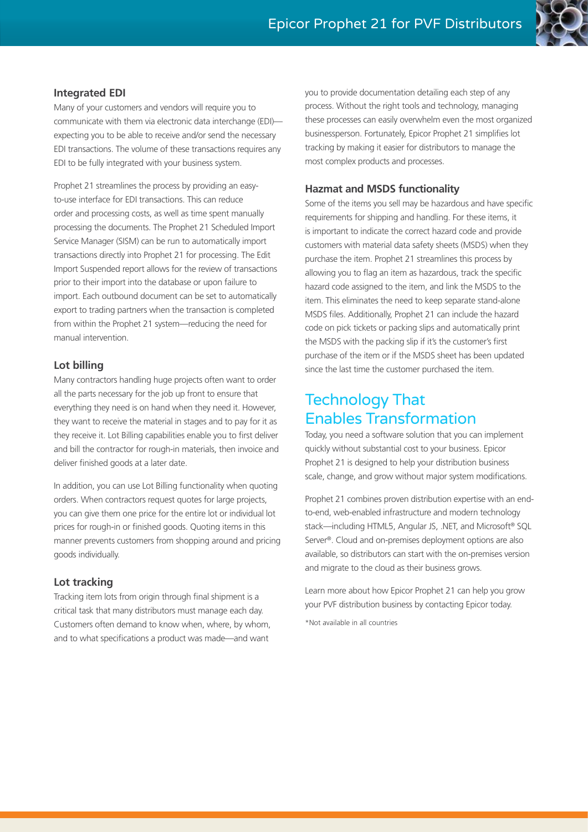

#### **Integrated EDI**

Many of your customers and vendors will require you to communicate with them via electronic data interchange (EDI) expecting you to be able to receive and/or send the necessary EDI transactions. The volume of these transactions requires any EDI to be fully integrated with your business system.

Prophet 21 streamlines the process by providing an easyto-use interface for EDI transactions. This can reduce order and processing costs, as well as time spent manually processing the documents. The Prophet 21 Scheduled Import Service Manager (SISM) can be run to automatically import transactions directly into Prophet 21 for processing. The Edit Import Suspended report allows for the review of transactions prior to their import into the database or upon failure to import. Each outbound document can be set to automatically export to trading partners when the transaction is completed from within the Prophet 21 system—reducing the need for manual intervention.

#### **Lot billing**

Many contractors handling huge projects often want to order all the parts necessary for the job up front to ensure that everything they need is on hand when they need it. However, they want to receive the material in stages and to pay for it as they receive it. Lot Billing capabilities enable you to first deliver and bill the contractor for rough-in materials, then invoice and deliver finished goods at a later date.

In addition, you can use Lot Billing functionality when quoting orders. When contractors request quotes for large projects, you can give them one price for the entire lot or individual lot prices for rough-in or finished goods. Quoting items in this manner prevents customers from shopping around and pricing goods individually.

#### **Lot tracking**

Tracking item lots from origin through final shipment is a critical task that many distributors must manage each day. Customers often demand to know when, where, by whom, and to what specifications a product was made—and want

you to provide documentation detailing each step of any process. Without the right tools and technology, managing these processes can easily overwhelm even the most organized businessperson. Fortunately, Epicor Prophet 21 simplifies lot tracking by making it easier for distributors to manage the most complex products and processes.

#### **Hazmat and MSDS functionality**

Some of the items you sell may be hazardous and have specific requirements for shipping and handling. For these items, it is important to indicate the correct hazard code and provide customers with material data safety sheets (MSDS) when they purchase the item. Prophet 21 streamlines this process by allowing you to flag an item as hazardous, track the specific hazard code assigned to the item, and link the MSDS to the item. This eliminates the need to keep separate stand-alone MSDS files. Additionally, Prophet 21 can include the hazard code on pick tickets or packing slips and automatically print the MSDS with the packing slip if it's the customer's first purchase of the item or if the MSDS sheet has been updated since the last time the customer purchased the item.

## Technology That Enables Transformation

Today, you need a software solution that you can implement quickly without substantial cost to your business. Epicor Prophet 21 is designed to help your distribution business scale, change, and grow without major system modifications.

Prophet 21 combines proven distribution expertise with an endto-end, web-enabled infrastructure and modern technology stack—including HTML5, Angular JS, .NET, and Microsoft® SQL Server®. Cloud and on-premises deployment options are also available, so distributors can start with the on-premises version and migrate to the cloud as their business grows.

Learn more about how Epicor Prophet 21 can help you grow your PVF distribution business by contacting Epicor today.

\*Not available in all countries